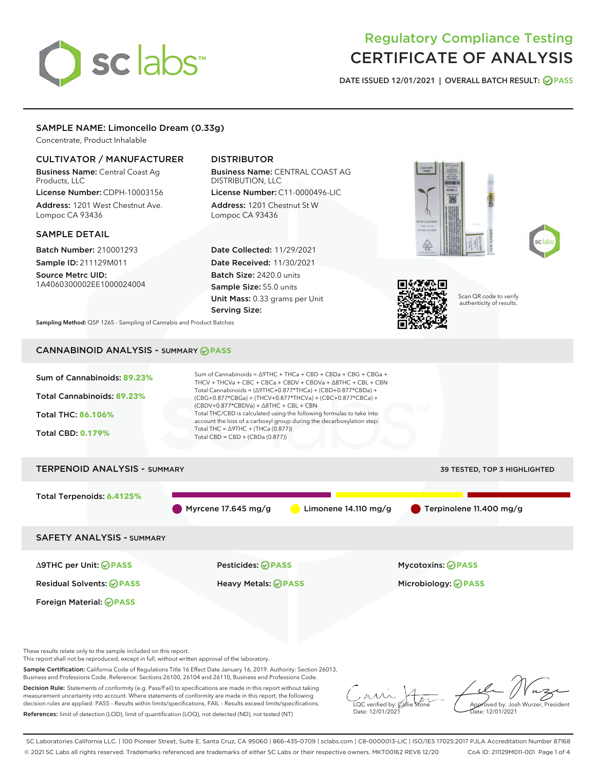# sclabs<sup>\*</sup>

# Regulatory Compliance Testing CERTIFICATE OF ANALYSIS

DATE ISSUED 12/01/2021 | OVERALL BATCH RESULT: @ PASS

#### SAMPLE NAME: Limoncello Dream (0.33g)

Concentrate, Product Inhalable

#### CULTIVATOR / MANUFACTURER

Business Name: Central Coast Ag Products, LLC

License Number: CDPH-10003156 Address: 1201 West Chestnut Ave. Lompoc CA 93436

#### SAMPLE DETAIL

Batch Number: 210001293 Sample ID: 211129M011

Source Metrc UID: 1A4060300002EE1000024004

### DISTRIBUTOR

Business Name: CENTRAL COAST AG DISTRIBUTION, LLC License Number: C11-0000496-LIC

Address: 1201 Chestnut St W Lompoc CA 93436

Date Collected: 11/29/2021 Date Received: 11/30/2021 Batch Size: 2420.0 units Sample Size: 55.0 units Unit Mass: 0.33 grams per Unit Serving Size:







Scan QR code to verify authenticity of results.

Sampling Method: QSP 1265 - Sampling of Cannabis and Product Batches

## CANNABINOID ANALYSIS - SUMMARY **PASS**



This report shall not be reproduced, except in full, without written approval of the laboratory.

Sample Certification: California Code of Regulations Title 16 Effect Date January 16, 2019. Authority: Section 26013, Business and Professions Code. Reference: Sections 26100, 26104 and 26110, Business and Professions Code.

Decision Rule: Statements of conformity (e.g. Pass/Fail) to specifications are made in this report without taking measurement uncertainty into account. Where statements of conformity are made in this report, the following decision rules are applied: PASS – Results within limits/specifications, FAIL – Results exceed limits/specifications. References: limit of detection (LOD), limit of quantification (LOQ), not detected (ND), not tested (NT)

 $\overline{\text{C}}$  verified by:  $\mathcal C$ Date: 12/01/2021

Aved by: Josh Wurzer, President ate: 12/01/2021

SC Laboratories California LLC. | 100 Pioneer Street, Suite E, Santa Cruz, CA 95060 | 866-435-0709 | sclabs.com | C8-0000013-LIC | ISO/IES 17025:2017 PJLA Accreditation Number 87168 © 2021 SC Labs all rights reserved. Trademarks referenced are trademarks of either SC Labs or their respective owners. MKT00162 REV6 12/20 CoA ID: 211129M011-001 Page 1 of 4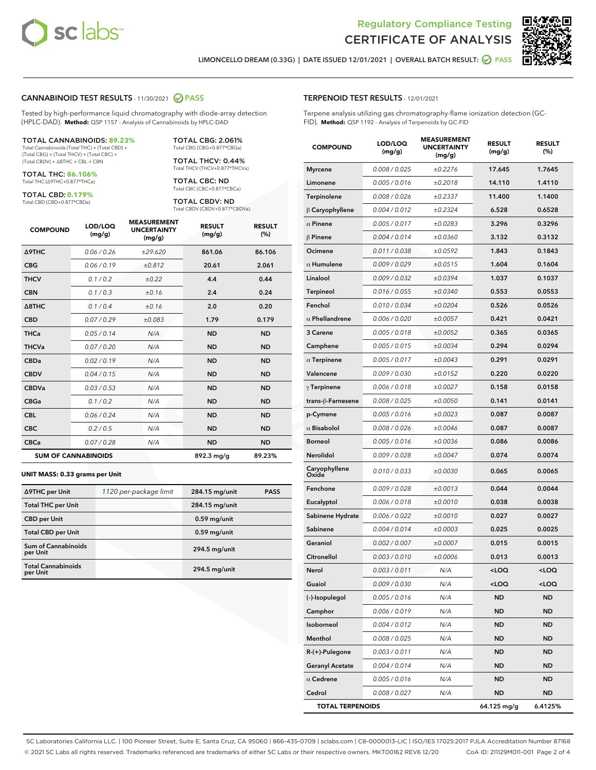



LIMONCELLO DREAM (0.33G) | DATE ISSUED 12/01/2021 | OVERALL BATCH RESULT: Ø PASS

#### CANNABINOID TEST RESULTS - 11/30/2021 @ PASS

Tested by high-performance liquid chromatography with diode-array detection (HPLC-DAD). **Method:** QSP 1157 - Analysis of Cannabinoids by HPLC-DAD

#### TOTAL CANNABINOIDS: **89.23%**

Total Cannabinoids (Total THC) + (Total CBD) + (Total CBG) + (Total THCV) + (Total CBC) + (Total CBDV) + ∆8THC + CBL + CBN

TOTAL THC: **86.106%** Total THC (∆9THC+0.877\*THCa)

TOTAL CBD: **0.179%**

Total CBD (CBD+0.877\*CBDa)

TOTAL CBG: 2.061% Total CBG (CBG+0.877\*CBGa)

TOTAL THCV: 0.44% Total THCV (THCV+0.877\*THCVa)

TOTAL CBC: ND Total CBC (CBC+0.877\*CBCa)

TOTAL CBDV: ND Total CBDV (CBDV+0.877\*CBDVa)

| <b>COMPOUND</b>  | LOD/LOQ<br>(mg/g)          | <b>MEASUREMENT</b><br><b>UNCERTAINTY</b><br>(mg/g) | <b>RESULT</b><br>(mg/g) | <b>RESULT</b><br>(%) |
|------------------|----------------------------|----------------------------------------------------|-------------------------|----------------------|
| <b>A9THC</b>     | 0.06/0.26                  | ±29.620                                            | 861.06                  | 86.106               |
| <b>CBG</b>       | 0.06/0.19                  | ±0.812                                             | 20.61                   | 2.061                |
| <b>THCV</b>      | 0.1 / 0.2                  | $\pm 0.22$                                         | 4.4                     | 0.44                 |
| <b>CBN</b>       | 0.1/0.3                    | ±0.16                                              | 2.4                     | 0.24                 |
| $\triangle$ 8THC | 0.1 / 0.4                  | ±0.16                                              | 2.0                     | 0.20                 |
| <b>CBD</b>       | 0.07/0.29                  | ±0.083                                             | 1.79                    | 0.179                |
| <b>THCa</b>      | 0.05/0.14                  | N/A                                                | <b>ND</b>               | <b>ND</b>            |
| <b>THCVa</b>     | 0.07/0.20                  | N/A                                                | <b>ND</b>               | <b>ND</b>            |
| <b>CBDa</b>      | 0.02/0.19                  | N/A                                                | <b>ND</b>               | <b>ND</b>            |
| <b>CBDV</b>      | 0.04/0.15                  | N/A                                                | <b>ND</b>               | <b>ND</b>            |
| <b>CBDVa</b>     | 0.03/0.53                  | N/A                                                | <b>ND</b>               | <b>ND</b>            |
| <b>CBGa</b>      | 0.1/0.2                    | N/A                                                | <b>ND</b>               | <b>ND</b>            |
| <b>CBL</b>       | 0.06 / 0.24                | N/A                                                | <b>ND</b>               | <b>ND</b>            |
| <b>CBC</b>       | 0.2 / 0.5                  | N/A                                                | <b>ND</b>               | <b>ND</b>            |
| <b>CBCa</b>      | 0.07 / 0.28                | N/A                                                | <b>ND</b>               | <b>ND</b>            |
|                  | <b>SUM OF CANNABINOIDS</b> |                                                    | 892.3 mg/g              | 89.23%               |

#### **UNIT MASS: 0.33 grams per Unit**

| ∆9THC per Unit                         | 1120 per-package limit | 284.15 mg/unit | <b>PASS</b> |
|----------------------------------------|------------------------|----------------|-------------|
| <b>Total THC per Unit</b>              |                        | 284.15 mg/unit |             |
| <b>CBD</b> per Unit                    |                        | $0.59$ mg/unit |             |
| <b>Total CBD per Unit</b>              |                        | $0.59$ mg/unit |             |
| <b>Sum of Cannabinoids</b><br>per Unit |                        | 294.5 mg/unit  |             |
| <b>Total Cannabinoids</b><br>per Unit  |                        | 294.5 mg/unit  |             |

#### TERPENOID TEST RESULTS - 12/01/2021

Terpene analysis utilizing gas chromatography-flame ionization detection (GC-FID). **Method:** QSP 1192 - Analysis of Terpenoids by GC-FID

| <b>COMPOUND</b>         | LOD/LOQ<br>(mg/g) | <b>MEASUREMENT</b><br><b>UNCERTAINTY</b><br>(mg/g) | <b>RESULT</b><br>(mg/g)                         | <b>RESULT</b><br>(%) |
|-------------------------|-------------------|----------------------------------------------------|-------------------------------------------------|----------------------|
| <b>Myrcene</b>          | 0.008 / 0.025     | ±0.2276                                            | 17.645                                          | 1.7645               |
| Limonene                | 0.005 / 0.016     | ±0.2018                                            | 14.110                                          | 1.4110               |
| Terpinolene             | 0.008 / 0.026     | ±0.2337                                            | 11.400                                          | 1.1400               |
| $\upbeta$ Caryophyllene | 0.004 / 0.012     | ±0.2324                                            | 6.528                                           | 0.6528               |
| $\alpha$ Pinene         | 0.005 / 0.017     | ±0.0283                                            | 3.296                                           | 0.3296               |
| $\beta$ Pinene          | 0.004 / 0.014     | ±0.0360                                            | 3.132                                           | 0.3132               |
| Ocimene                 | 0.011 / 0.038     | ±0.0592                                            | 1.843                                           | 0.1843               |
| $\alpha$ Humulene       | 0.009/0.029       | ±0.0515                                            | 1.604                                           | 0.1604               |
| Linalool                | 0.009 / 0.032     | ±0.0394                                            | 1.037                                           | 0.1037               |
| Terpineol               | 0.016 / 0.055     | ±0.0340                                            | 0.553                                           | 0.0553               |
| Fenchol                 | 0.010 / 0.034     | ±0.0204                                            | 0.526                                           | 0.0526               |
| $\alpha$ Phellandrene   | 0.006 / 0.020     | ±0.0057                                            | 0.421                                           | 0.0421               |
| 3 Carene                | 0.005 / 0.018     | ±0.0052                                            | 0.365                                           | 0.0365               |
| Camphene                | 0.005 / 0.015     | ±0.0034                                            | 0.294                                           | 0.0294               |
| $\alpha$ Terpinene      | 0.005 / 0.017     | ±0.0043                                            | 0.291                                           | 0.0291               |
| Valencene               | 0.009 / 0.030     | ±0.0152                                            | 0.220                                           | 0.0220               |
| $\gamma$ Terpinene      | 0.006 / 0.018     | ±0.0027                                            | 0.158                                           | 0.0158               |
| trans-β-Farnesene       | 0.008 / 0.025     | ±0.0050                                            | 0.141                                           | 0.0141               |
| p-Cymene                | 0.005 / 0.016     | ±0.0023                                            | 0.087                                           | 0.0087               |
| $\alpha$ Bisabolol      | 0.008 / 0.026     | ±0.0046                                            | 0.087                                           | 0.0087               |
| <b>Borneol</b>          | 0.005 / 0.016     | ±0.0036                                            | 0.086                                           | 0.0086               |
| Nerolidol               | 0.009 / 0.028     | ±0.0047                                            | 0.074                                           | 0.0074               |
| Caryophyllene<br>Oxide  | 0.010 / 0.033     | ±0.0030                                            | 0.065                                           | 0.0065               |
| Fenchone                | 0.009 / 0.028     | ±0.0013                                            | 0.044                                           | 0.0044               |
| Eucalyptol              | 0.006 / 0.018     | ±0.0010                                            | 0.038                                           | 0.0038               |
| Sabinene Hydrate        | 0.006 / 0.022     | ±0.0010                                            | 0.027                                           | 0.0027               |
| Sabinene                | 0.004 / 0.014     | ±0.0003                                            | 0.025                                           | 0.0025               |
| Geraniol                | 0.002 / 0.007     | ±0.0007                                            | 0.015                                           | 0.0015               |
| Citronellol             | 0.003 / 0.010     | ±0.0006                                            | 0.013                                           | 0.0013               |
| Nerol                   | 0.003 / 0.011     | N/A                                                | <loq< th=""><th><loq< th=""></loq<></th></loq<> | <loq< th=""></loq<>  |
| Guaiol                  | 0.009 / 0.030     | N/A                                                | <loq< th=""><th><loq< th=""></loq<></th></loq<> | <loq< th=""></loq<>  |
| (-)-Isopulegol          | 0.005 / 0.016     | N/A                                                | ND                                              | ND                   |
| Camphor                 | 0.006 / 0.019     | N/A                                                | <b>ND</b>                                       | ND                   |
| Isoborneol              | 0.004 / 0.012     | N/A                                                | <b>ND</b>                                       | ND                   |
| Menthol                 | 0.008 / 0.025     | N/A                                                | ND                                              | ND                   |
| $R-(+)$ -Pulegone       | 0.003 / 0.011     | N/A                                                | ND                                              | ND                   |
| <b>Geranyl Acetate</b>  | 0.004 / 0.014     | N/A                                                | <b>ND</b>                                       | ND                   |
| $\alpha$ Cedrene        | 0.005 / 0.016     | N/A                                                | ND                                              | ND                   |
| Cedrol                  | 0.008 / 0.027     | N/A                                                | ND                                              | ND                   |
| <b>TOTAL TERPENOIDS</b> |                   |                                                    | 64.125 mg/g                                     | 6.4125%              |

SC Laboratories California LLC. | 100 Pioneer Street, Suite E, Santa Cruz, CA 95060 | 866-435-0709 | sclabs.com | C8-0000013-LIC | ISO/IES 17025:2017 PJLA Accreditation Number 87168 © 2021 SC Labs all rights reserved. Trademarks referenced are trademarks of either SC Labs or their respective owners. MKT00162 REV6 12/20 CoA ID: 211129M011-001 Page 2 of 4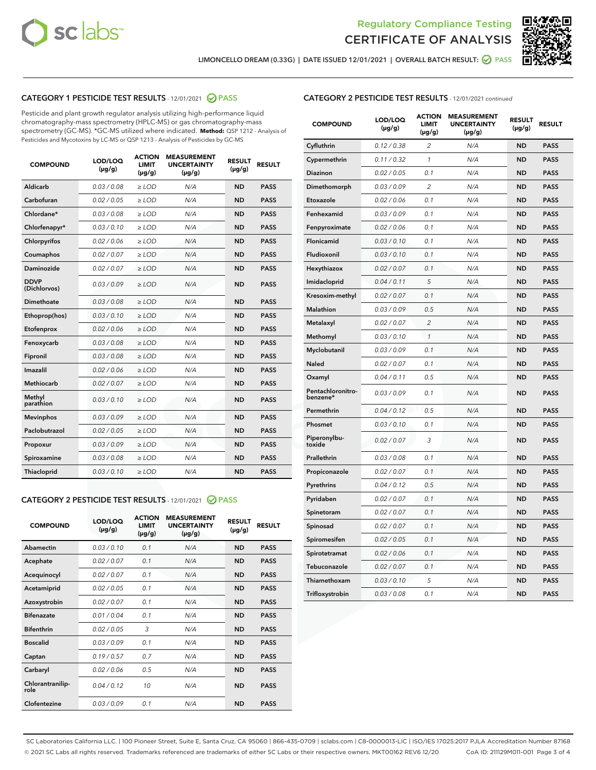



LIMONCELLO DREAM (0.33G) | DATE ISSUED 12/01/2021 | OVERALL BATCH RESULT: <mark>⊘</mark> PASS

#### CATEGORY 1 PESTICIDE TEST RESULTS - 12/01/2021 2 PASS

Pesticide and plant growth regulator analysis utilizing high-performance liquid chromatography-mass spectrometry (HPLC-MS) or gas chromatography-mass spectrometry (GC-MS). \*GC-MS utilized where indicated. **Method:** QSP 1212 - Analysis of Pesticides and Mycotoxins by LC-MS or QSP 1213 - Analysis of Pesticides by GC-MS

| <b>COMPOUND</b>             | LOD/LOQ<br>$(\mu g/g)$ | <b>ACTION</b><br><b>LIMIT</b><br>$(\mu g/g)$ | <b>MEASUREMENT</b><br><b>UNCERTAINTY</b><br>$(\mu g/g)$ | <b>RESULT</b><br>$(\mu g/g)$ | <b>RESULT</b> |
|-----------------------------|------------------------|----------------------------------------------|---------------------------------------------------------|------------------------------|---------------|
| Aldicarb                    | 0.03 / 0.08            | $\ge$ LOD                                    | N/A                                                     | <b>ND</b>                    | <b>PASS</b>   |
| Carbofuran                  | 0.02 / 0.05            | $\geq$ LOD                                   | N/A                                                     | <b>ND</b>                    | <b>PASS</b>   |
| Chlordane*                  | 0.03 / 0.08            | $\ge$ LOD                                    | N/A                                                     | <b>ND</b>                    | <b>PASS</b>   |
| Chlorfenapyr*               | 0.03/0.10              | $\ge$ LOD                                    | N/A                                                     | <b>ND</b>                    | <b>PASS</b>   |
| Chlorpyrifos                | 0.02 / 0.06            | $\ge$ LOD                                    | N/A                                                     | <b>ND</b>                    | <b>PASS</b>   |
| Coumaphos                   | 0.02 / 0.07            | $\ge$ LOD                                    | N/A                                                     | <b>ND</b>                    | <b>PASS</b>   |
| Daminozide                  | 0.02 / 0.07            | $\ge$ LOD                                    | N/A                                                     | <b>ND</b>                    | <b>PASS</b>   |
| <b>DDVP</b><br>(Dichlorvos) | 0.03/0.09              | $\ge$ LOD                                    | N/A                                                     | <b>ND</b>                    | <b>PASS</b>   |
| Dimethoate                  | 0.03 / 0.08            | $>$ LOD                                      | N/A                                                     | <b>ND</b>                    | <b>PASS</b>   |
| Ethoprop(hos)               | 0.03/0.10              | $\ge$ LOD                                    | N/A                                                     | <b>ND</b>                    | <b>PASS</b>   |
| Etofenprox                  | 0.02/0.06              | $>$ LOD                                      | N/A                                                     | <b>ND</b>                    | <b>PASS</b>   |
| Fenoxycarb                  | 0.03 / 0.08            | $\geq$ LOD                                   | N/A                                                     | <b>ND</b>                    | <b>PASS</b>   |
| Fipronil                    | 0.03 / 0.08            | $>$ LOD                                      | N/A                                                     | <b>ND</b>                    | <b>PASS</b>   |
| Imazalil                    | 0.02 / 0.06            | $\ge$ LOD                                    | N/A                                                     | <b>ND</b>                    | <b>PASS</b>   |
| <b>Methiocarb</b>           | 0.02 / 0.07            | $\ge$ LOD                                    | N/A                                                     | <b>ND</b>                    | <b>PASS</b>   |
| Methyl<br>parathion         | 0.03/0.10              | $\ge$ LOD                                    | N/A                                                     | <b>ND</b>                    | <b>PASS</b>   |
| <b>Mevinphos</b>            | 0.03/0.09              | $\ge$ LOD                                    | N/A                                                     | <b>ND</b>                    | <b>PASS</b>   |
| Paclobutrazol               | 0.02 / 0.05            | $\ge$ LOD                                    | N/A                                                     | <b>ND</b>                    | <b>PASS</b>   |
| Propoxur                    | 0.03/0.09              | $\ge$ LOD                                    | N/A                                                     | <b>ND</b>                    | <b>PASS</b>   |
| Spiroxamine                 | 0.03 / 0.08            | $\ge$ LOD                                    | N/A                                                     | <b>ND</b>                    | <b>PASS</b>   |
| <b>Thiacloprid</b>          | 0.03/0.10              | $\ge$ LOD                                    | N/A                                                     | <b>ND</b>                    | <b>PASS</b>   |

#### CATEGORY 2 PESTICIDE TEST RESULTS - 12/01/2021 @ PASS

| <b>COMPOUND</b>          | LOD/LOQ<br>$(\mu g/g)$ | <b>ACTION</b><br><b>LIMIT</b><br>$(\mu g/g)$ | <b>MEASUREMENT</b><br><b>UNCERTAINTY</b><br>$(\mu g/g)$ | <b>RESULT</b><br>$(\mu g/g)$ | <b>RESULT</b> |
|--------------------------|------------------------|----------------------------------------------|---------------------------------------------------------|------------------------------|---------------|
| Abamectin                | 0.03/0.10              | 0.1                                          | N/A                                                     | <b>ND</b>                    | <b>PASS</b>   |
| Acephate                 | 0.02/0.07              | 0.1                                          | N/A                                                     | <b>ND</b>                    | <b>PASS</b>   |
| Acequinocyl              | 0.02/0.07              | 0.1                                          | N/A                                                     | <b>ND</b>                    | <b>PASS</b>   |
| Acetamiprid              | 0.02/0.05              | 0.1                                          | N/A                                                     | <b>ND</b>                    | <b>PASS</b>   |
| Azoxystrobin             | 0.02/0.07              | 0.1                                          | N/A                                                     | <b>ND</b>                    | <b>PASS</b>   |
| <b>Bifenazate</b>        | 0.01/0.04              | 0.1                                          | N/A                                                     | <b>ND</b>                    | <b>PASS</b>   |
| <b>Bifenthrin</b>        | 0.02 / 0.05            | 3                                            | N/A                                                     | <b>ND</b>                    | <b>PASS</b>   |
| <b>Boscalid</b>          | 0.03/0.09              | 0.1                                          | N/A                                                     | <b>ND</b>                    | <b>PASS</b>   |
| Captan                   | 0.19/0.57              | 0.7                                          | N/A                                                     | <b>ND</b>                    | <b>PASS</b>   |
| Carbaryl                 | 0.02/0.06              | 0.5                                          | N/A                                                     | <b>ND</b>                    | <b>PASS</b>   |
| Chlorantranilip-<br>role | 0.04/0.12              | 10                                           | N/A                                                     | <b>ND</b>                    | <b>PASS</b>   |
| Clofentezine             | 0.03/0.09              | 0.1                                          | N/A                                                     | <b>ND</b>                    | <b>PASS</b>   |

#### CATEGORY 2 PESTICIDE TEST RESULTS - 12/01/2021 continued

| <b>COMPOUND</b>               | LOD/LOQ<br>(µg/g) | <b>ACTION</b><br><b>LIMIT</b><br>$(\mu g/g)$ | <b>MEASUREMENT</b><br><b>UNCERTAINTY</b><br>$(\mu g/g)$ | <b>RESULT</b><br>(µg/g) | <b>RESULT</b> |
|-------------------------------|-------------------|----------------------------------------------|---------------------------------------------------------|-------------------------|---------------|
| Cyfluthrin                    | 0.12 / 0.38       | $\overline{c}$                               | N/A                                                     | ND                      | <b>PASS</b>   |
| Cypermethrin                  | 0.11 / 0.32       | $\mathcal{I}$                                | N/A                                                     | ND                      | <b>PASS</b>   |
| <b>Diazinon</b>               | 0.02 / 0.05       | 0.1                                          | N/A                                                     | <b>ND</b>               | <b>PASS</b>   |
| Dimethomorph                  | 0.03 / 0.09       | 2                                            | N/A                                                     | ND                      | <b>PASS</b>   |
| Etoxazole                     | 0.02 / 0.06       | 0.1                                          | N/A                                                     | ND                      | <b>PASS</b>   |
| Fenhexamid                    | 0.03 / 0.09       | 0.1                                          | N/A                                                     | ND                      | <b>PASS</b>   |
| Fenpyroximate                 | 0.02 / 0.06       | 0.1                                          | N/A                                                     | <b>ND</b>               | <b>PASS</b>   |
| Flonicamid                    | 0.03 / 0.10       | 0.1                                          | N/A                                                     | ND                      | <b>PASS</b>   |
| Fludioxonil                   | 0.03 / 0.10       | 0.1                                          | N/A                                                     | ND                      | <b>PASS</b>   |
| Hexythiazox                   | 0.02 / 0.07       | 0.1                                          | N/A                                                     | ND                      | <b>PASS</b>   |
| Imidacloprid                  | 0.04 / 0.11       | 5                                            | N/A                                                     | ND                      | <b>PASS</b>   |
| Kresoxim-methyl               | 0.02 / 0.07       | 0.1                                          | N/A                                                     | ND                      | <b>PASS</b>   |
| Malathion                     | 0.03 / 0.09       | 0.5                                          | N/A                                                     | <b>ND</b>               | <b>PASS</b>   |
| Metalaxyl                     | 0.02 / 0.07       | $\overline{c}$                               | N/A                                                     | ND                      | <b>PASS</b>   |
| Methomyl                      | 0.03 / 0.10       | 1                                            | N/A                                                     | ND                      | <b>PASS</b>   |
| Myclobutanil                  | 0.03 / 0.09       | 0.1                                          | N/A                                                     | <b>ND</b>               | <b>PASS</b>   |
| Naled                         | 0.02 / 0.07       | 0.1                                          | N/A                                                     | ND                      | <b>PASS</b>   |
| Oxamyl                        | 0.04 / 0.11       | 0.5                                          | N/A                                                     | ND                      | <b>PASS</b>   |
| Pentachloronitro-<br>benzene* | 0.03 / 0.09       | 0.1                                          | N/A                                                     | ND                      | <b>PASS</b>   |
| Permethrin                    | 0.04 / 0.12       | 0.5                                          | N/A                                                     | ND                      | <b>PASS</b>   |
| Phosmet                       | 0.03 / 0.10       | 0.1                                          | N/A                                                     | ND                      | <b>PASS</b>   |
| Piperonylbu-<br>toxide        | 0.02 / 0.07       | 3                                            | N/A                                                     | ND                      | <b>PASS</b>   |
| Prallethrin                   | 0.03 / 0.08       | 0.1                                          | N/A                                                     | ND                      | <b>PASS</b>   |
| Propiconazole                 | 0.02 / 0.07       | 0.1                                          | N/A                                                     | ND                      | <b>PASS</b>   |
| Pyrethrins                    | 0.04 / 0.12       | 0.5                                          | N/A                                                     | ND                      | <b>PASS</b>   |
| Pyridaben                     | 0.02 / 0.07       | 0.1                                          | N/A                                                     | <b>ND</b>               | <b>PASS</b>   |
| Spinetoram                    | 0.02 / 0.07       | 0.1                                          | N/A                                                     | ND                      | <b>PASS</b>   |
| Spinosad                      | 0.02 / 0.07       | 0.1                                          | N/A                                                     | ND                      | <b>PASS</b>   |
| Spiromesifen                  | 0.02 / 0.05       | 0.1                                          | N/A                                                     | <b>ND</b>               | <b>PASS</b>   |
| Spirotetramat                 | 0.02 / 0.06       | 0.1                                          | N/A                                                     | ND                      | <b>PASS</b>   |
| Tebuconazole                  | 0.02 / 0.07       | 0.1                                          | N/A                                                     | ND                      | <b>PASS</b>   |
| Thiamethoxam                  | 0.03 / 0.10       | 5                                            | N/A                                                     | <b>ND</b>               | <b>PASS</b>   |
| Trifloxystrobin               | 0.03 / 0.08       | 0.1                                          | N/A                                                     | <b>ND</b>               | <b>PASS</b>   |

SC Laboratories California LLC. | 100 Pioneer Street, Suite E, Santa Cruz, CA 95060 | 866-435-0709 | sclabs.com | C8-0000013-LIC | ISO/IES 17025:2017 PJLA Accreditation Number 87168 © 2021 SC Labs all rights reserved. Trademarks referenced are trademarks of either SC Labs or their respective owners. MKT00162 REV6 12/20 CoA ID: 211129M011-001 Page 3 of 4